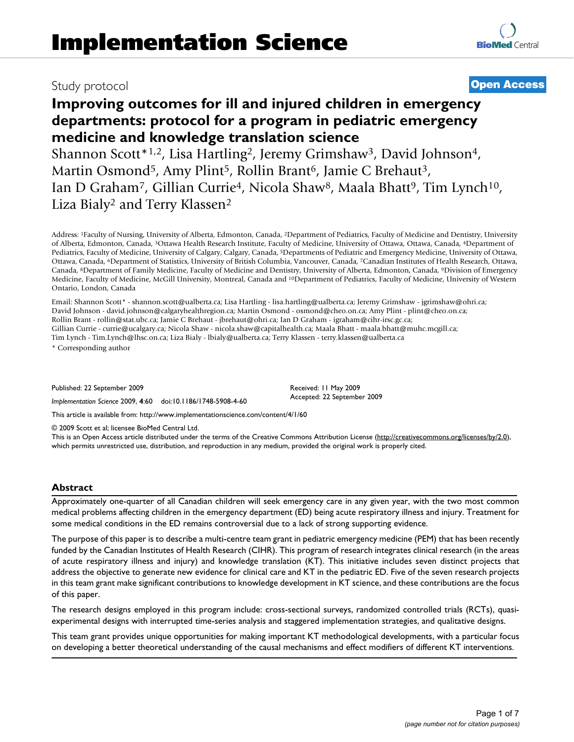# Study protocol **[Open Access](http://www.biomedcentral.com/info/about/charter/)**

# **Improving outcomes for ill and injured children in emergency departments: protocol for a program in pediatric emergency medicine and knowledge translation science**

Shannon Scott\*<sup>1,2</sup>, Lisa Hartling<sup>2</sup>, Jeremy Grimshaw<sup>3</sup>, David Johnson<sup>4</sup>, Martin Osmond<sup>5</sup>, Amy Plint<sup>5</sup>, Rollin Brant<sup>6</sup>, Jamie C Brehaut<sup>3</sup>, Ian D Graham<sup>7</sup>, Gillian Currie<sup>4</sup>, Nicola Shaw<sup>8</sup>, Maala Bhatt<sup>9</sup>, Tim Lynch<sup>10</sup>, Liza Bialy<sup>2</sup> and Terry Klassen<sup>2</sup>

Address: 1Faculty of Nursing, University of Alberta, Edmonton, Canada, 2Department of Pediatrics, Faculty of Medicine and Dentistry, University of Alberta, Edmonton, Canada, 3Ottawa Health Research Institute, Faculty of Medicine, University of Ottawa, Ottawa, Canada, 4Department of Pediatrics, Faculty of Medicine, University of Calgary, Calgary, Canada, 5Departments of Pediatric and Emergency Medicine, University of Ottawa, Ottawa, Canada, 6Department of Statistics, University of British Columbia, Vancouver, Canada, 7Canadian Institutes of Health Research, Ottawa, Canada, 8Department of Family Medicine, Faculty of Medicine and Dentistry, University of Alberta, Edmonton, Canada, 9Division of Emergency Medicine, Faculty of Medicine, McGill University, Montreal, Canada and 10Department of Pediatrics, Faculty of Medicine, University of Western Ontario, London, Canada

Email: Shannon Scott\* - shannon.scott@ualberta.ca; Lisa Hartling - lisa.hartling@ualberta.ca; Jeremy Grimshaw - jgrimshaw@ohri.ca; David Johnson - david.johnson@calgaryhealthregion.ca; Martin Osmond - osmond@cheo.on.ca; Amy Plint - plint@cheo.on.ca; Rollin Brant - rollin@stat.ubc.ca; Jamie C Brehaut - jbrehaut@ohri.ca; Ian D Graham - igraham@cihr-irsc.gc.ca; Gillian Currie - currie@ucalgary.ca; Nicola Shaw - nicola.shaw@capitalhealth.ca; Maala Bhatt - maala.bhatt@muhc.mcgill.ca; Tim Lynch - Tim.Lynch@lhsc.on.ca; Liza Bialy - lbialy@ualberta.ca; Terry Klassen - terry.klassen@ualberta.ca

\* Corresponding author

Published: 22 September 2009

Received: 11 May 2009 Accepted: 22 September 2009

[This article is available from: http://www.implementationscience.com/content/4/1/60](http://www.implementationscience.com/content/4/1/60)

© 2009 Scott et al; licensee BioMed Central Ltd.

*Implementation Science* 2009, **4**:60 doi:10.1186/1748-5908-4-60

This is an Open Access article distributed under the terms of the Creative Commons Attribution License [\(http://creativecommons.org/licenses/by/2.0\)](http://creativecommons.org/licenses/by/2.0), which permits unrestricted use, distribution, and reproduction in any medium, provided the original work is properly cited.

# **Abstract**

Approximately one-quarter of all Canadian children will seek emergency care in any given year, with the two most common medical problems affecting children in the emergency department (ED) being acute respiratory illness and injury. Treatment for some medical conditions in the ED remains controversial due to a lack of strong supporting evidence.

The purpose of this paper is to describe a multi-centre team grant in pediatric emergency medicine (PEM) that has been recently funded by the Canadian Institutes of Health Research (CIHR). This program of research integrates clinical research (in the areas of acute respiratory illness and injury) and knowledge translation (KT). This initiative includes seven distinct projects that address the objective to generate new evidence for clinical care and KT in the pediatric ED. Five of the seven research projects in this team grant make significant contributions to knowledge development in KT science, and these contributions are the focus of this paper.

The research designs employed in this program include: cross-sectional surveys, randomized controlled trials (RCTs), quasiexperimental designs with interrupted time-series analysis and staggered implementation strategies, and qualitative designs.

This team grant provides unique opportunities for making important KT methodological developments, with a particular focus on developing a better theoretical understanding of the causal mechanisms and effect modifiers of different KT interventions.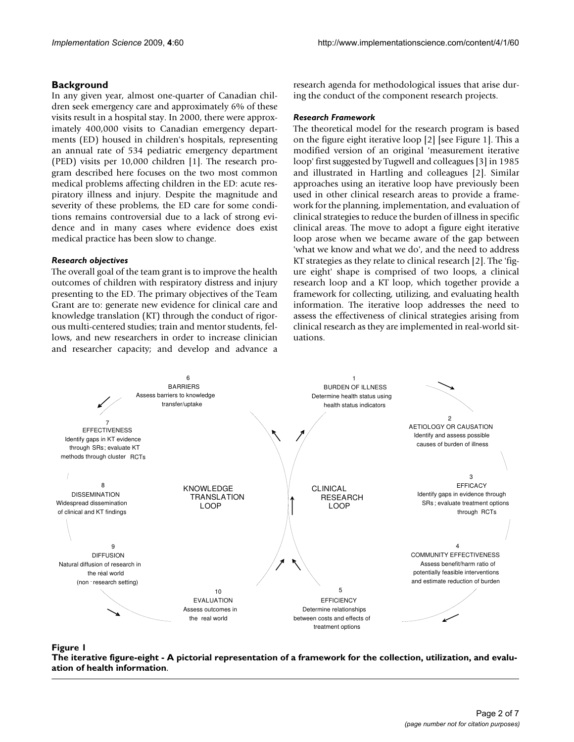## **Background**

In any given year, almost one-quarter of Canadian children seek emergency care and approximately 6% of these visits result in a hospital stay. In 2000, there were approximately 400,000 visits to Canadian emergency departments (ED) housed in children's hospitals, representing an annual rate of 534 pediatric emergency department (PED) visits per 10,000 children [1]. The research program described here focuses on the two most common medical problems affecting children in the ED: acute respiratory illness and injury. Despite the magnitude and severity of these problems, the ED care for some conditions remains controversial due to a lack of strong evidence and in many cases where evidence does exist medical practice has been slow to change.

#### *Research objectives*

The overall goal of the team grant is to improve the health outcomes of children with respiratory distress and injury presenting to the ED. The primary objectives of the Team Grant are to: generate new evidence for clinical care and knowledge translation (KT) through the conduct of rigorous multi-centered studies; train and mentor students, fellows, and new researchers in order to increase clinician and researcher capacity; and develop and advance a research agenda for methodological issues that arise during the conduct of the component research projects.

#### *Research Framework*

The theoretical model for the research program is based on the figure eight iterative loop [2] [see Figure 1]. This a modified version of an original 'measurement iterative loop' first suggested by Tugwell and colleagues [3] in 1985 and illustrated in Hartling and colleagues [2]. Similar approaches using an iterative loop have previously been used in other clinical research areas to provide a framework for the planning, implementation, and evaluation of clinical strategies to reduce the burden of illness in specific clinical areas. The move to adopt a figure eight iterative loop arose when we became aware of the gap between 'what we know and what we do', and the need to address KT strategies as they relate to clinical research [2]. The 'figure eight' shape is comprised of two loops, a clinical research loop and a KT loop, which together provide a framework for collecting, utilizing, and evaluating health information. The iterative loop addresses the need to assess the effectiveness of clinical strategies arising from clinical research as they are implemented in real-world situations.



The iterative figure-eight - A pictorial repr information **Figure 1** esentation of a framework for the collection, utilization, and evaluation of health **The iterative figure-eight - A pictorial representation of a framework for the collection, utilization, and evaluation of health information**.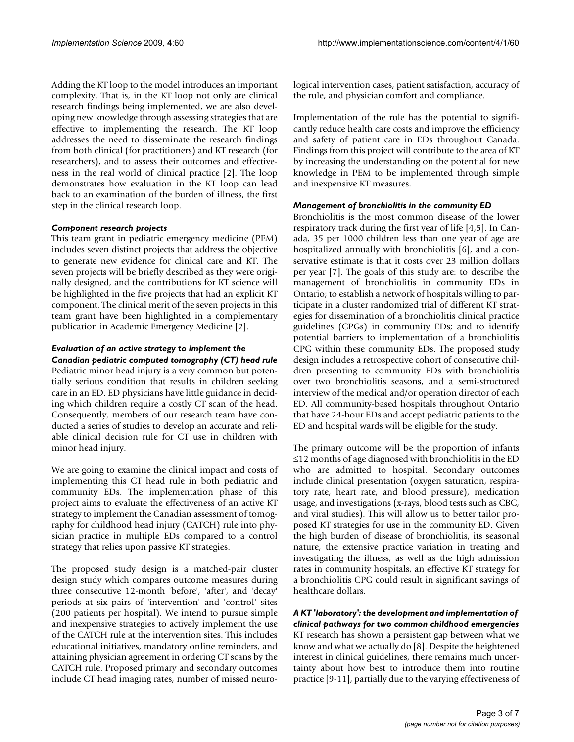Adding the KT loop to the model introduces an important complexity. That is, in the KT loop not only are clinical research findings being implemented, we are also developing new knowledge through assessing strategies that are effective to implementing the research. The KT loop addresses the need to disseminate the research findings from both clinical (for practitioners) and KT research (for researchers), and to assess their outcomes and effectiveness in the real world of clinical practice [2]. The loop demonstrates how evaluation in the KT loop can lead back to an examination of the burden of illness, the first step in the clinical research loop.

# *Component research projects*

This team grant in pediatric emergency medicine (PEM) includes seven distinct projects that address the objective to generate new evidence for clinical care and KT. The seven projects will be briefly described as they were originally designed, and the contributions for KT science will be highlighted in the five projects that had an explicit KT component. The clinical merit of the seven projects in this team grant have been highlighted in a complementary publication in Academic Emergency Medicine [2].

#### *Evaluation of an active strategy to implement the Canadian pediatric computed tomography (CT) head rule*

Pediatric minor head injury is a very common but potentially serious condition that results in children seeking care in an ED. ED physicians have little guidance in deciding which children require a costly CT scan of the head. Consequently, members of our research team have conducted a series of studies to develop an accurate and reliable clinical decision rule for CT use in children with minor head injury.

We are going to examine the clinical impact and costs of implementing this CT head rule in both pediatric and community EDs. The implementation phase of this project aims to evaluate the effectiveness of an active KT strategy to implement the Canadian assessment of tomography for childhood head injury (CATCH) rule into physician practice in multiple EDs compared to a control strategy that relies upon passive KT strategies.

The proposed study design is a matched-pair cluster design study which compares outcome measures during three consecutive 12-month 'before', 'after', and 'decay' periods at six pairs of 'intervention' and 'control' sites (200 patients per hospital). We intend to pursue simple and inexpensive strategies to actively implement the use of the CATCH rule at the intervention sites. This includes educational initiatives, mandatory online reminders, and attaining physician agreement in ordering CT scans by the CATCH rule. Proposed primary and secondary outcomes include CT head imaging rates, number of missed neurological intervention cases, patient satisfaction, accuracy of the rule, and physician comfort and compliance.

Implementation of the rule has the potential to significantly reduce health care costs and improve the efficiency and safety of patient care in EDs throughout Canada. Findings from this project will contribute to the area of KT by increasing the understanding on the potential for new knowledge in PEM to be implemented through simple and inexpensive KT measures.

### *Management of bronchiolitis in the community ED*

Bronchiolitis is the most common disease of the lower respiratory track during the first year of life [4,5]. In Canada, 35 per 1000 children less than one year of age are hospitalized annually with bronchiolitis [6], and a conservative estimate is that it costs over 23 million dollars per year [7]. The goals of this study are: to describe the management of bronchiolitis in community EDs in Ontario; to establish a network of hospitals willing to participate in a cluster randomized trial of different KT strategies for dissemination of a bronchiolitis clinical practice guidelines (CPGs) in community EDs; and to identify potential barriers to implementation of a bronchiolitis CPG within these community EDs. The proposed study design includes a retrospective cohort of consecutive children presenting to community EDs with bronchiolitis over two bronchiolitis seasons, and a semi-structured interview of the medical and/or operation director of each ED. All community-based hospitals throughout Ontario that have 24-hour EDs and accept pediatric patients to the ED and hospital wards will be eligible for the study.

The primary outcome will be the proportion of infants  $\leq$ 12 months of age diagnosed with bronchiolitis in the ED who are admitted to hospital. Secondary outcomes include clinical presentation (oxygen saturation, respiratory rate, heart rate, and blood pressure), medication usage, and investigations (x-rays, blood tests such as CBC, and viral studies). This will allow us to better tailor proposed KT strategies for use in the community ED. Given the high burden of disease of bronchiolitis, its seasonal nature, the extensive practice variation in treating and investigating the illness, as well as the high admission rates in community hospitals, an effective KT strategy for a bronchiolitis CPG could result in significant savings of healthcare dollars.

# *A KT 'laboratory': the development and implementation of clinical pathways for two common childhood emergencies* KT research has shown a persistent gap between what we know and what we actually do [8]. Despite the heightened interest in clinical guidelines, there remains much uncertainty about how best to introduce them into routine practice [9-11], partially due to the varying effectiveness of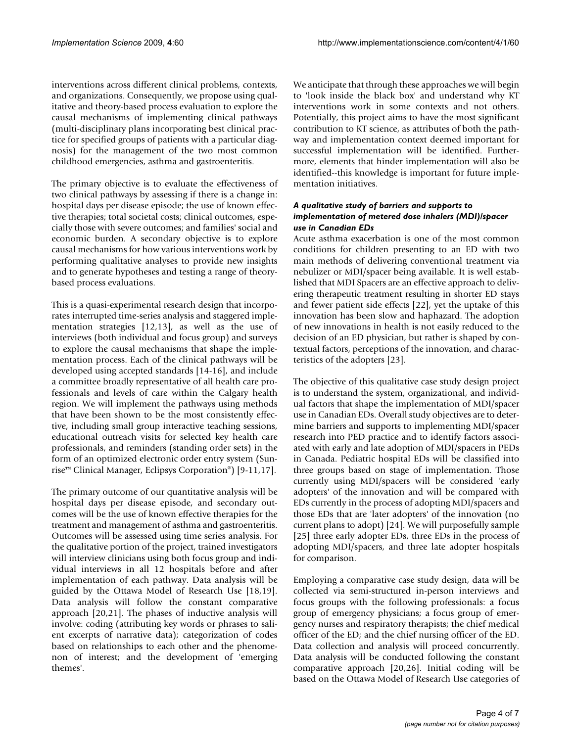interventions across different clinical problems, contexts, and organizations. Consequently, we propose using qualitative and theory-based process evaluation to explore the causal mechanisms of implementing clinical pathways (multi-disciplinary plans incorporating best clinical practice for specified groups of patients with a particular diagnosis) for the management of the two most common childhood emergencies, asthma and gastroenteritis.

The primary objective is to evaluate the effectiveness of two clinical pathways by assessing if there is a change in: hospital days per disease episode; the use of known effective therapies; total societal costs; clinical outcomes, especially those with severe outcomes; and families' social and economic burden. A secondary objective is to explore causal mechanisms for how various interventions work by performing qualitative analyses to provide new insights and to generate hypotheses and testing a range of theorybased process evaluations.

This is a quasi-experimental research design that incorporates interrupted time-series analysis and staggered implementation strategies [12,13], as well as the use of interviews (both individual and focus group) and surveys to explore the causal mechanisms that shape the implementation process. Each of the clinical pathways will be developed using accepted standards [14-16], and include a committee broadly representative of all health care professionals and levels of care within the Calgary health region. We will implement the pathways using methods that have been shown to be the most consistently effective, including small group interactive teaching sessions, educational outreach visits for selected key health care professionals, and reminders (standing order sets) in the form of an optimized electronic order entry system (Sunrise™ Clinical Manager, Eclipsys Corporation®) [9-11,17].

The primary outcome of our quantitative analysis will be hospital days per disease episode, and secondary outcomes will be the use of known effective therapies for the treatment and management of asthma and gastroenteritis. Outcomes will be assessed using time series analysis. For the qualitative portion of the project, trained investigators will interview clinicians using both focus group and individual interviews in all 12 hospitals before and after implementation of each pathway. Data analysis will be guided by the Ottawa Model of Research Use [18,19]. Data analysis will follow the constant comparative approach [20,21]. The phases of inductive analysis will involve: coding (attributing key words or phrases to salient excerpts of narrative data); categorization of codes based on relationships to each other and the phenomenon of interest; and the development of 'emerging themes'.

We anticipate that through these approaches we will begin to 'look inside the black box' and understand why KT interventions work in some contexts and not others. Potentially, this project aims to have the most significant contribution to KT science, as attributes of both the pathway and implementation context deemed important for successful implementation will be identified. Furthermore, elements that hinder implementation will also be identified--this knowledge is important for future implementation initiatives.

# *A qualitative study of barriers and supports to implementation of metered dose inhalers (MDI)/spacer use in Canadian EDs*

Acute asthma exacerbation is one of the most common conditions for children presenting to an ED with two main methods of delivering conventional treatment via nebulizer or MDI/spacer being available. It is well established that MDI Spacers are an effective approach to delivering therapeutic treatment resulting in shorter ED stays and fewer patient side effects [22], yet the uptake of this innovation has been slow and haphazard. The adoption of new innovations in health is not easily reduced to the decision of an ED physician, but rather is shaped by contextual factors, perceptions of the innovation, and characteristics of the adopters [23].

The objective of this qualitative case study design project is to understand the system, organizational, and individual factors that shape the implementation of MDI/spacer use in Canadian EDs. Overall study objectives are to determine barriers and supports to implementing MDI/spacer research into PED practice and to identify factors associated with early and late adoption of MDI/spacers in PEDs in Canada. Pediatric hospital EDs will be classified into three groups based on stage of implementation. Those currently using MDI/spacers will be considered 'early adopters' of the innovation and will be compared with EDs currently in the process of adopting MDI/spacers and those EDs that are 'later adopters' of the innovation (no current plans to adopt) [24]. We will purposefully sample [25] three early adopter EDs, three EDs in the process of adopting MDI/spacers, and three late adopter hospitals for comparison.

Employing a comparative case study design, data will be collected via semi-structured in-person interviews and focus groups with the following professionals: a focus group of emergency physicians; a focus group of emergency nurses and respiratory therapists; the chief medical officer of the ED; and the chief nursing officer of the ED. Data collection and analysis will proceed concurrently. Data analysis will be conducted following the constant comparative approach [20,26]. Initial coding will be based on the Ottawa Model of Research Use categories of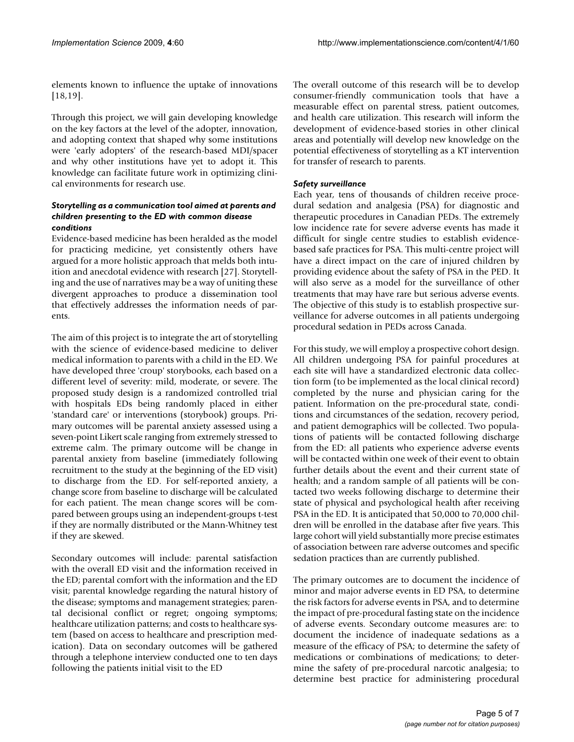elements known to influence the uptake of innovations [18,19].

Through this project, we will gain developing knowledge on the key factors at the level of the adopter, innovation, and adopting context that shaped why some institutions were 'early adopters' of the research-based MDI/spacer and why other institutions have yet to adopt it. This knowledge can facilitate future work in optimizing clinical environments for research use.

## *Storytelling as a communication tool aimed at parents and children presenting to the ED with common disease conditions*

Evidence-based medicine has been heralded as the model for practicing medicine, yet consistently others have argued for a more holistic approach that melds both intuition and anecdotal evidence with research [27]. Storytelling and the use of narratives may be a way of uniting these divergent approaches to produce a dissemination tool that effectively addresses the information needs of parents.

The aim of this project is to integrate the art of storytelling with the science of evidence-based medicine to deliver medical information to parents with a child in the ED. We have developed three 'croup' storybooks, each based on a different level of severity: mild, moderate, or severe. The proposed study design is a randomized controlled trial with hospitals EDs being randomly placed in either 'standard care' or interventions (storybook) groups. Primary outcomes will be parental anxiety assessed using a seven-point Likert scale ranging from extremely stressed to extreme calm. The primary outcome will be change in parental anxiety from baseline (immediately following recruitment to the study at the beginning of the ED visit) to discharge from the ED. For self-reported anxiety, a change score from baseline to discharge will be calculated for each patient. The mean change scores will be compared between groups using an independent-groups t-test if they are normally distributed or the Mann-Whitney test if they are skewed.

Secondary outcomes will include: parental satisfaction with the overall ED visit and the information received in the ED; parental comfort with the information and the ED visit; parental knowledge regarding the natural history of the disease; symptoms and management strategies; parental decisional conflict or regret; ongoing symptoms; healthcare utilization patterns; and costs to healthcare system (based on access to healthcare and prescription medication). Data on secondary outcomes will be gathered through a telephone interview conducted one to ten days following the patients initial visit to the ED

The overall outcome of this research will be to develop consumer-friendly communication tools that have a measurable effect on parental stress, patient outcomes, and health care utilization. This research will inform the development of evidence-based stories in other clinical areas and potentially will develop new knowledge on the potential effectiveness of storytelling as a KT intervention for transfer of research to parents.

# *Safety surveillance*

Each year, tens of thousands of children receive procedural sedation and analgesia (PSA) for diagnostic and therapeutic procedures in Canadian PEDs. The extremely low incidence rate for severe adverse events has made it difficult for single centre studies to establish evidencebased safe practices for PSA. This multi-centre project will have a direct impact on the care of injured children by providing evidence about the safety of PSA in the PED. It will also serve as a model for the surveillance of other treatments that may have rare but serious adverse events. The objective of this study is to establish prospective surveillance for adverse outcomes in all patients undergoing procedural sedation in PEDs across Canada.

For this study, we will employ a prospective cohort design. All children undergoing PSA for painful procedures at each site will have a standardized electronic data collection form (to be implemented as the local clinical record) completed by the nurse and physician caring for the patient. Information on the pre-procedural state, conditions and circumstances of the sedation, recovery period, and patient demographics will be collected. Two populations of patients will be contacted following discharge from the ED: all patients who experience adverse events will be contacted within one week of their event to obtain further details about the event and their current state of health; and a random sample of all patients will be contacted two weeks following discharge to determine their state of physical and psychological health after receiving PSA in the ED. It is anticipated that 50,000 to 70,000 children will be enrolled in the database after five years. This large cohort will yield substantially more precise estimates of association between rare adverse outcomes and specific sedation practices than are currently published.

The primary outcomes are to document the incidence of minor and major adverse events in ED PSA, to determine the risk factors for adverse events in PSA, and to determine the impact of pre-procedural fasting state on the incidence of adverse events. Secondary outcome measures are: to document the incidence of inadequate sedations as a measure of the efficacy of PSA; to determine the safety of medications or combinations of medications; to determine the safety of pre-procedural narcotic analgesia; to determine best practice for administering procedural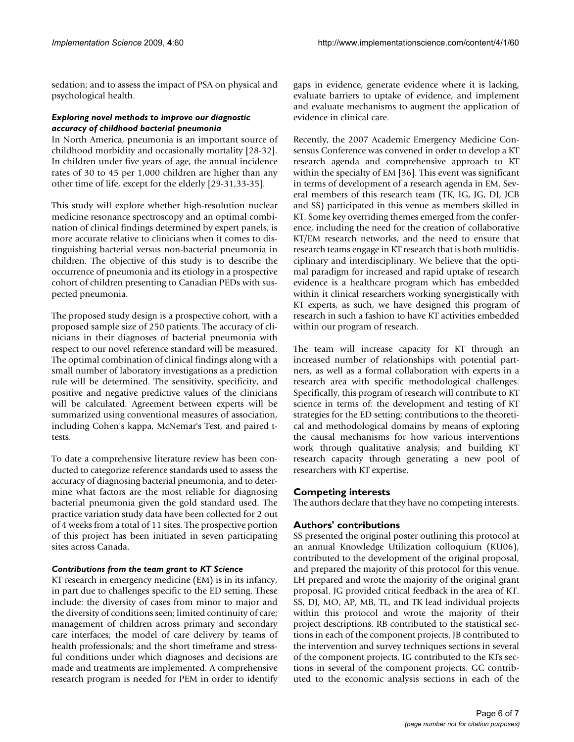sedation; and to assess the impact of PSA on physical and psychological health.

### *Exploring novel methods to improve our diagnostic accuracy of childhood bacterial pneumonia*

In North America, pneumonia is an important source of childhood morbidity and occasionally mortality [28-32]. In children under five years of age, the annual incidence rates of 30 to 45 per 1,000 children are higher than any other time of life, except for the elderly [29-31,33-35].

This study will explore whether high-resolution nuclear medicine resonance spectroscopy and an optimal combination of clinical findings determined by expert panels, is more accurate relative to clinicians when it comes to distinguishing bacterial versus non-bacterial pneumonia in children. The objective of this study is to describe the occurrence of pneumonia and its etiology in a prospective cohort of children presenting to Canadian PEDs with suspected pneumonia.

The proposed study design is a prospective cohort, with a proposed sample size of 250 patients. The accuracy of clinicians in their diagnoses of bacterial pneumonia with respect to our novel reference standard will be measured. The optimal combination of clinical findings along with a small number of laboratory investigations as a prediction rule will be determined. The sensitivity, specificity, and positive and negative predictive values of the clinicians will be calculated. Agreement between experts will be summarized using conventional measures of association, including Cohen's kappa, McNemar's Test, and paired ttests.

To date a comprehensive literature review has been conducted to categorize reference standards used to assess the accuracy of diagnosing bacterial pneumonia, and to determine what factors are the most reliable for diagnosing bacterial pneumonia given the gold standard used. The practice variation study data have been collected for 2 out of 4 weeks from a total of 11 sites. The prospective portion of this project has been initiated in seven participating sites across Canada.

# *Contributions from the team grant to KT Science*

KT research in emergency medicine (EM) is in its infancy, in part due to challenges specific to the ED setting. These include: the diversity of cases from minor to major and the diversity of conditions seen; limited continuity of care; management of children across primary and secondary care interfaces; the model of care delivery by teams of health professionals; and the short timeframe and stressful conditions under which diagnoses and decisions are made and treatments are implemented. A comprehensive research program is needed for PEM in order to identify gaps in evidence, generate evidence where it is lacking, evaluate barriers to uptake of evidence, and implement and evaluate mechanisms to augment the application of evidence in clinical care.

Recently, the 2007 Academic Emergency Medicine Consensus Conference was convened in order to develop a KT research agenda and comprehensive approach to KT within the specialty of EM [36]. This event was significant in terms of development of a research agenda in EM. Several members of this research team (TK, IG, JG, DJ, JCB and SS) participated in this venue as members skilled in KT. Some key overriding themes emerged from the conference, including the need for the creation of collaborative KT/EM research networks, and the need to ensure that research teams engage in KT research that is both multidisciplinary and interdisciplinary. We believe that the optimal paradigm for increased and rapid uptake of research evidence is a healthcare program which has embedded within it clinical researchers working synergistically with KT experts, as such, we have designed this program of research in such a fashion to have KT activities embedded within our program of research.

The team will increase capacity for KT through an increased number of relationships with potential partners, as well as a formal collaboration with experts in a research area with specific methodological challenges. Specifically, this program of research will contribute to KT science in terms of: the development and testing of KT strategies for the ED setting; contributions to the theoretical and methodological domains by means of exploring the causal mechanisms for how various interventions work through qualitative analysis; and building KT research capacity through generating a new pool of researchers with KT expertise.

# **Competing interests**

The authors declare that they have no competing interests.

# **Authors' contributions**

SS presented the original poster outlining this protocol at an annual Knowledge Utilization colloquium (KU06), contributed to the development of the original proposal, and prepared the majority of this protocol for this venue. LH prepared and wrote the majority of the original grant proposal. JG provided critical feedback in the area of KT. SS, DJ, MO, AP, MB, TL, and TK lead individual projects within this protocol and wrote the majority of their project descriptions. RB contributed to the statistical sections in each of the component projects. JB contributed to the intervention and survey techniques sections in several of the component projects. IG contributed to the KTs sections in several of the component projects. GC contributed to the economic analysis sections in each of the